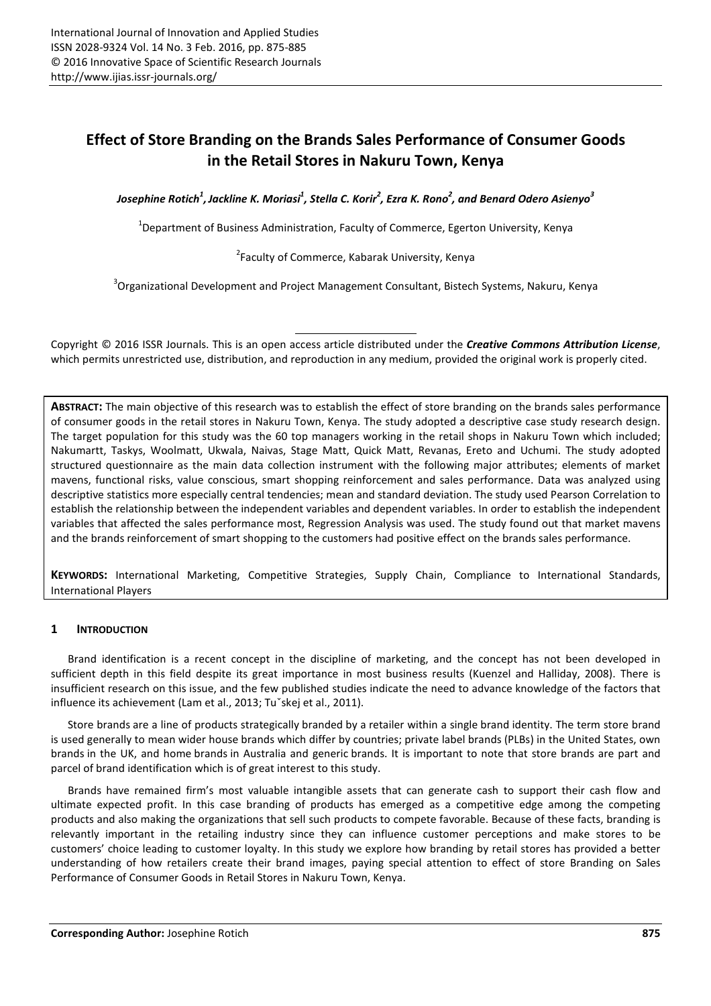# **Effect of Store Branding on the Brands Sales Performance of Consumer Goods in the Retail Stores in Nakuru Town, Kenya**

*Josephine Rotich<sup>1</sup> ,Jackline K. Moriasi<sup>1</sup> , Stella C. Korir<sup>2</sup> , Ezra K. Rono<sup>2</sup> , and Benard Odero Asienyo<sup>3</sup>*

 $^{1}$ Department of Business Administration, Faculty of Commerce, Egerton University, Kenya

<sup>2</sup> Faculty of Commerce, Kabarak University, Kenya

<sup>3</sup>Organizational Development and Project Management Consultant, Bistech Systems, Nakuru, Kenya

Copyright © 2016 ISSR Journals. This is an open access article distributed under the *Creative Commons Attribution License*, which permits unrestricted use, distribution, and reproduction in any medium, provided the original work is properly cited.

**ABSTRACT:** The main objective of this research was to establish the effect of store branding on the brands sales performance of consumer goods in the retail stores in Nakuru Town, Kenya. The study adopted a descriptive case study research design. The target population for this study was the 60 top managers working in the retail shops in Nakuru Town which included; Nakumartt, Taskys, Woolmatt, Ukwala, Naivas, Stage Matt, Quick Matt, Revanas, Ereto and Uchumi. The study adopted structured questionnaire as the main data collection instrument with the following major attributes; elements of market mavens, functional risks, value conscious, smart shopping reinforcement and sales performance. Data was analyzed using descriptive statistics more especially central tendencies; mean and standard deviation. The study used Pearson Correlation to establish the relationship between the independent variables and dependent variables. In order to establish the independent variables that affected the sales performance most, Regression Analysis was used. The study found out that market mavens and the brands reinforcement of smart shopping to the customers had positive effect on the brands sales performance.

**KEYWORDS:** International Marketing, Competitive Strategies, Supply Chain, Compliance to International Standards, International Players

# **1 INTRODUCTION**

Brand identification is a recent concept in the discipline of marketing, and the concept has not been developed in sufficient depth in this field despite its great importance in most business results (Kuenzel and Halliday, 2008). There is insufficient research on this issue, and the few published studies indicate the need to advance knowledge of the factors that influence its achievement (Lam et al., 2013; Tuˇskej et al., 2011).

Store brands are a line of products strategically branded by a retailer within a single brand identity. The term store brand is used generally to mean wider house brands which differ by countries; private label brands (PLBs) in the United States, own brands in the UK, and home brands in Australia and generic brands. It is important to note that store brands are part and parcel of brand identification which is of great interest to this study.

Brands have remained firm's most valuable intangible assets that can generate cash to support their cash flow and ultimate expected profit. In this case branding of products has emerged as a competitive edge among the competing products and also making the organizations that sell such products to compete favorable. Because of these facts, branding is relevantly important in the retailing industry since they can influence customer perceptions and make stores to be customers' choice leading to customer loyalty. In this study we explore how branding by retail stores has provided a better understanding of how retailers create their brand images, paying special attention to effect of store Branding on Sales Performance of Consumer Goods in Retail Stores in Nakuru Town, Kenya.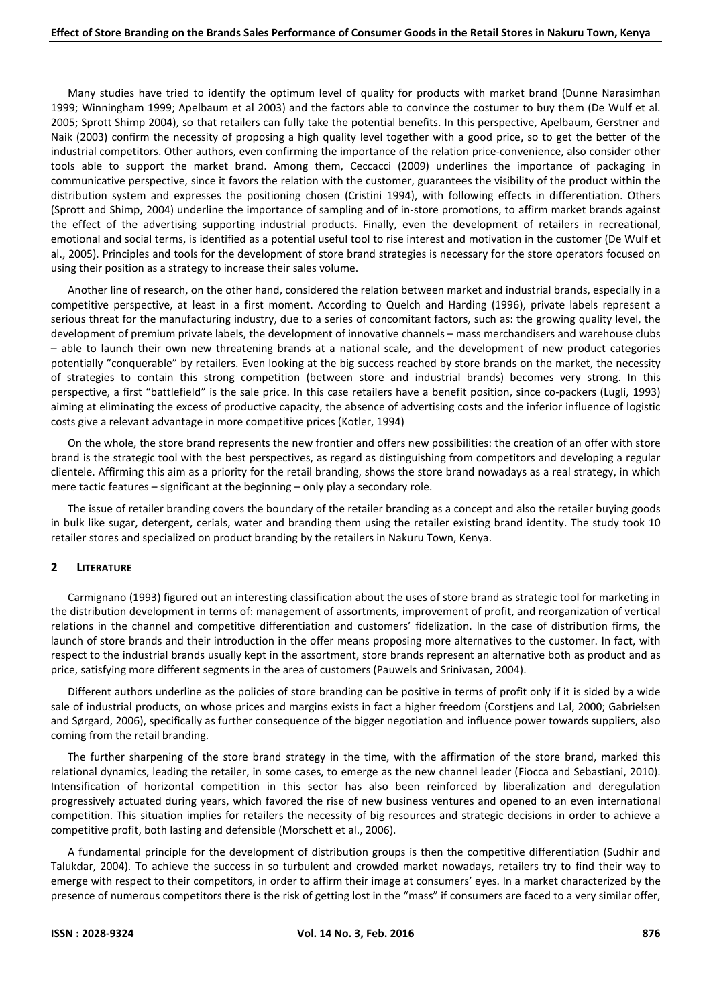Many studies have tried to identify the optimum level of quality for products with market brand (Dunne Narasimhan 1999; Winningham 1999; Apelbaum et al 2003) and the factors able to convince the costumer to buy them (De Wulf et al. 2005; Sprott Shimp 2004), so that retailers can fully take the potential benefits. In this perspective, Apelbaum, Gerstner and Naik (2003) confirm the necessity of proposing a high quality level together with a good price, so to get the better of the industrial competitors. Other authors, even confirming the importance of the relation price-convenience, also consider other tools able to support the market brand. Among them, Ceccacci (2009) underlines the importance of packaging in communicative perspective, since it favors the relation with the customer, guarantees the visibility of the product within the distribution system and expresses the positioning chosen (Cristini 1994), with following effects in differentiation. Others (Sprott and Shimp, 2004) underline the importance of sampling and of in-store promotions, to affirm market brands against the effect of the advertising supporting industrial products. Finally, even the development of retailers in recreational, emotional and social terms, is identified as a potential useful tool to rise interest and motivation in the customer (De Wulf et al., 2005). Principles and tools for the development of store brand strategies is necessary for the store operators focused on using their position as a strategy to increase their sales volume.

Another line of research, on the other hand, considered the relation between market and industrial brands, especially in a competitive perspective, at least in a first moment. According to Quelch and Harding (1996), private labels represent a serious threat for the manufacturing industry, due to a series of concomitant factors, such as: the growing quality level, the development of premium private labels, the development of innovative channels – mass merchandisers and warehouse clubs – able to launch their own new threatening brands at a national scale, and the development of new product categories potentially "conquerable" by retailers. Even looking at the big success reached by store brands on the market, the necessity of strategies to contain this strong competition (between store and industrial brands) becomes very strong. In this perspective, a first "battlefield" is the sale price. In this case retailers have a benefit position, since co-packers (Lugli, 1993) aiming at eliminating the excess of productive capacity, the absence of advertising costs and the inferior influence of logistic costs give a relevant advantage in more competitive prices (Kotler, 1994)

On the whole, the store brand represents the new frontier and offers new possibilities: the creation of an offer with store brand is the strategic tool with the best perspectives, as regard as distinguishing from competitors and developing a regular clientele. Affirming this aim as a priority for the retail branding, shows the store brand nowadays as a real strategy, in which mere tactic features – significant at the beginning – only play a secondary role.

The issue of retailer branding covers the boundary of the retailer branding as a concept and also the retailer buying goods in bulk like sugar, detergent, cerials, water and branding them using the retailer existing brand identity. The study took 10 retailer stores and specialized on product branding by the retailers in Nakuru Town, Kenya.

# **2 LITERATURE**

Carmignano (1993) figured out an interesting classification about the uses of store brand as strategic tool for marketing in the distribution development in terms of: management of assortments, improvement of profit, and reorganization of vertical relations in the channel and competitive differentiation and customers' fidelization. In the case of distribution firms, the launch of store brands and their introduction in the offer means proposing more alternatives to the customer. In fact, with respect to the industrial brands usually kept in the assortment, store brands represent an alternative both as product and as price, satisfying more different segments in the area of customers (Pauwels and Srinivasan, 2004).

Different authors underline as the policies of store branding can be positive in terms of profit only if it is sided by a wide sale of industrial products, on whose prices and margins exists in fact a higher freedom (Corstjens and Lal, 2000; Gabrielsen and Sørgard, 2006), specifically as further consequence of the bigger negotiation and influence power towards suppliers, also coming from the retail branding.

The further sharpening of the store brand strategy in the time, with the affirmation of the store brand, marked this relational dynamics, leading the retailer, in some cases, to emerge as the new channel leader (Fiocca and Sebastiani, 2010). Intensification of horizontal competition in this sector has also been reinforced by liberalization and deregulation progressively actuated during years, which favored the rise of new business ventures and opened to an even international competition. This situation implies for retailers the necessity of big resources and strategic decisions in order to achieve a competitive profit, both lasting and defensible (Morschett et al., 2006).

A fundamental principle for the development of distribution groups is then the competitive differentiation (Sudhir and Talukdar, 2004). To achieve the success in so turbulent and crowded market nowadays, retailers try to find their way to emerge with respect to their competitors, in order to affirm their image at consumers' eyes. In a market characterized by the presence of numerous competitors there is the risk of getting lost in the "mass" if consumers are faced to a very similar offer,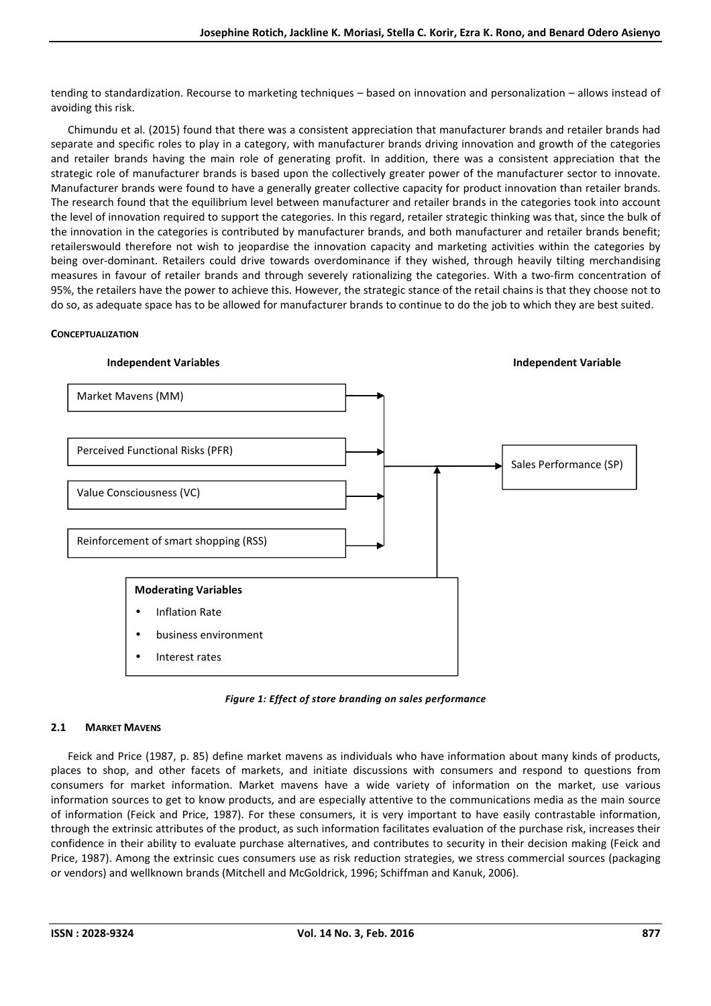tending to standardization. Recourse to marketing techniques – based on innovation and personalization – allows instead of avoiding this risk.

Chimundu et al. (2015) found that there was a consistent appreciation that manufacturer brands and retailer brands had separate and specific roles to play in a category, with manufacturer brands driving innovation and growth of the categories and retailer brands having the main role of generating profit. In addition, there was a consistent appreciation that the strategic role of manufacturer brands is based upon the collectively greater power of the manufacturer sector to innovate. Manufacturer brands were found to have a generally greater collective capacity for product innovation than retailer brands. The research found that the equilibrium level between manufacturer and retailer brands in the categories took into account the level of innovation required to support the categories. In this regard, retailer strategic thinking was that, since the bulk of the innovation in the categories is contributed by manufacturer brands, and both manufacturer and retailer brands benefit; retailerswould therefore not wish to jeopardise the innovation capacity and marketing activities within the categories by being over-dominant. Retailers could drive towards overdominance if they wished, through heavily tilting merchandising measures in favour of retailer brands and through severely rationalizing the categories. With a two-firm concentration of 95%, the retailers have the power to achieve this. However, the strategic stance of the retail chains is that they choose not to do so, as adequate space has to be allowed for manufacturer brands to continue to do the job to which they are best suited.

## **CONCEPTUALIZATION**



*Figure 1: Effect of store branding on sales performance* 

# **2.1 MARKET MAVENS**

Feick and Price (1987, p. 85) define market mavens as individuals who have information about many kinds of products, places to shop, and other facets of markets, and initiate discussions with consumers and respond to questions from consumers for market information. Market mavens have a wide variety of information on the market, use various information sources to get to know products, and are especially attentive to the communications media as the main source of information (Feick and Price, 1987). For these consumers, it is very important to have easily contrastable information, through the extrinsic attributes of the product, as such information facilitates evaluation of the purchase risk, increases their confidence in their ability to evaluate purchase alternatives, and contributes to security in their decision making (Feick and Price, 1987). Among the extrinsic cues consumers use as risk reduction strategies, we stress commercial sources (packaging or vendors) and wellknown brands (Mitchell and McGoldrick, 1996; Schiffman and Kanuk, 2006).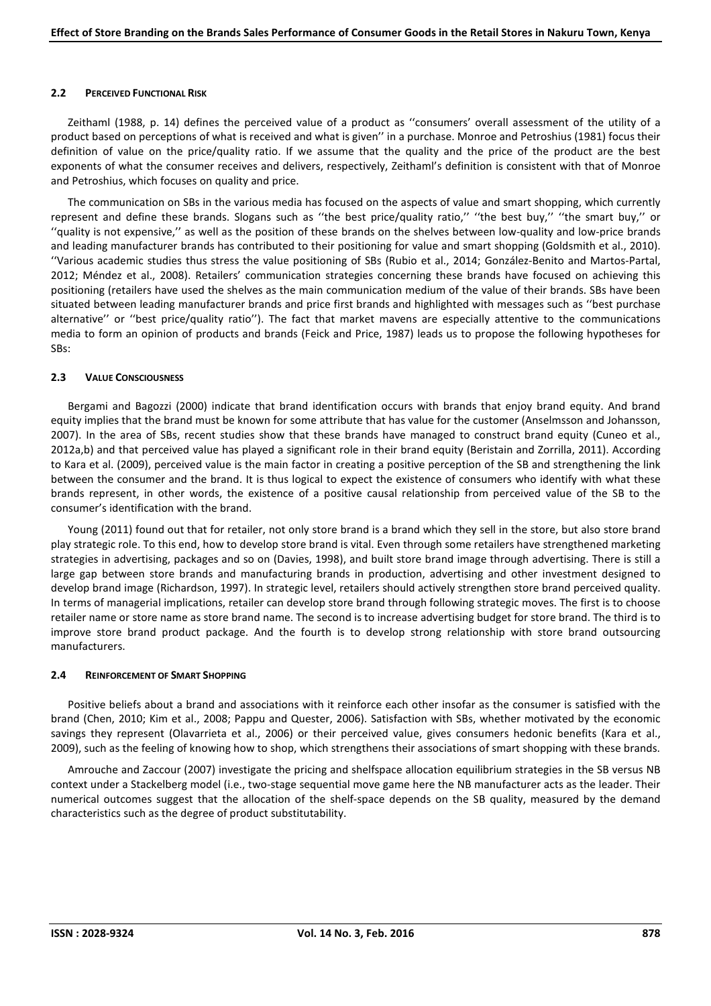#### **2.2 PERCEIVED FUNCTIONAL RISK**

Zeithaml (1988, p. 14) defines the perceived value of a product as ''consumers' overall assessment of the utility of a product based on perceptions of what is received and what is given'' in a purchase. Monroe and Petroshius (1981) focus their definition of value on the price/quality ratio. If we assume that the quality and the price of the product are the best exponents of what the consumer receives and delivers, respectively, Zeithaml's definition is consistent with that of Monroe and Petroshius, which focuses on quality and price.

The communication on SBs in the various media has focused on the aspects of value and smart shopping, which currently represent and define these brands. Slogans such as "the best price/quality ratio," "the best buy," "the smart buy," or ''quality is not expensive,'' as well as the position of these brands on the shelves between low-quality and low-price brands and leading manufacturer brands has contributed to their positioning for value and smart shopping (Goldsmith et al., 2010). ''Various academic studies thus stress the value positioning of SBs (Rubio et al., 2014; González-Benito and Martos-Partal, 2012; Méndez et al., 2008). Retailers' communication strategies concerning these brands have focused on achieving this positioning (retailers have used the shelves as the main communication medium of the value of their brands. SBs have been situated between leading manufacturer brands and price first brands and highlighted with messages such as ''best purchase alternative'' or ''best price/quality ratio''). The fact that market mavens are especially attentive to the communications media to form an opinion of products and brands (Feick and Price, 1987) leads us to propose the following hypotheses for SBs:

## **2.3 VALUE CONSCIOUSNESS**

Bergami and Bagozzi (2000) indicate that brand identification occurs with brands that enjoy brand equity. And brand equity implies that the brand must be known for some attribute that has value for the customer (Anselmsson and Johansson, 2007). In the area of SBs, recent studies show that these brands have managed to construct brand equity (Cuneo et al., 2012a,b) and that perceived value has played a significant role in their brand equity (Beristain and Zorrilla, 2011). According to Kara et al. (2009), perceived value is the main factor in creating a positive perception of the SB and strengthening the link between the consumer and the brand. It is thus logical to expect the existence of consumers who identify with what these brands represent, in other words, the existence of a positive causal relationship from perceived value of the SB to the consumer's identification with the brand.

Young (2011) found out that for retailer, not only store brand is a brand which they sell in the store, but also store brand play strategic role. To this end, how to develop store brand is vital. Even through some retailers have strengthened marketing strategies in advertising, packages and so on (Davies, 1998), and built store brand image through advertising. There is still a large gap between store brands and manufacturing brands in production, advertising and other investment designed to develop brand image (Richardson, 1997). In strategic level, retailers should actively strengthen store brand perceived quality. In terms of managerial implications, retailer can develop store brand through following strategic moves. The first is to choose retailer name or store name as store brand name. The second is to increase advertising budget for store brand. The third is to improve store brand product package. And the fourth is to develop strong relationship with store brand outsourcing manufacturers.

## **2.4 REINFORCEMENT OF SMART SHOPPING**

Positive beliefs about a brand and associations with it reinforce each other insofar as the consumer is satisfied with the brand (Chen, 2010; Kim et al., 2008; Pappu and Quester, 2006). Satisfaction with SBs, whether motivated by the economic savings they represent (Olavarrieta et al., 2006) or their perceived value, gives consumers hedonic benefits (Kara et al., 2009), such as the feeling of knowing how to shop, which strengthens their associations of smart shopping with these brands.

Amrouche and Zaccour (2007) investigate the pricing and shelfspace allocation equilibrium strategies in the SB versus NB context under a Stackelberg model (i.e., two-stage sequential move game here the NB manufacturer acts as the leader. Their numerical outcomes suggest that the allocation of the shelf-space depends on the SB quality, measured by the demand characteristics such as the degree of product substitutability.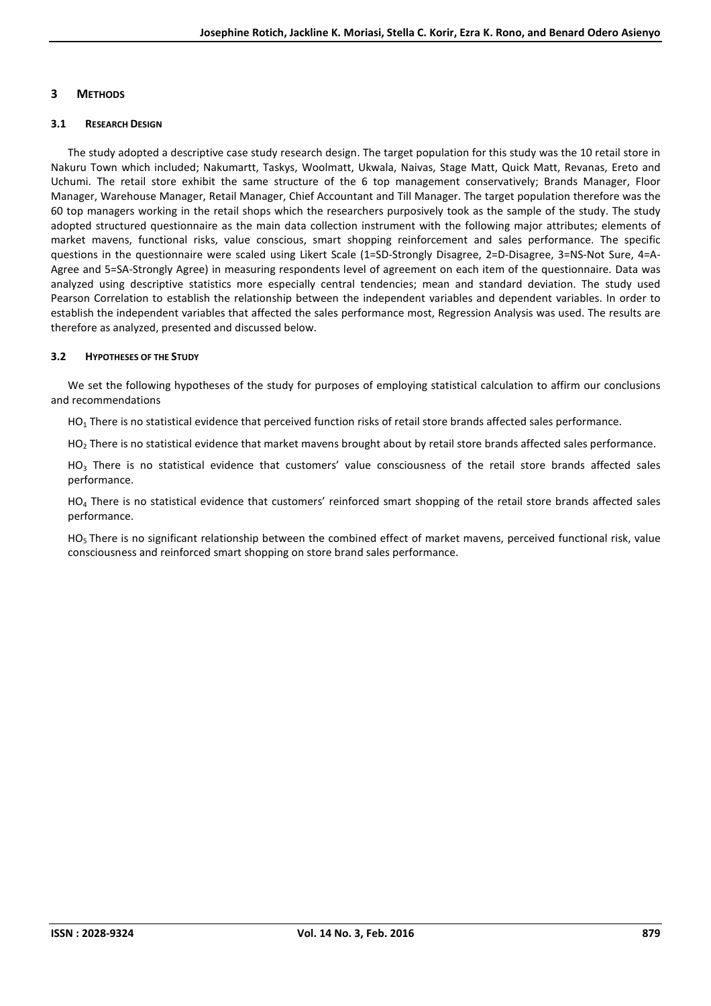# **3 METHODS**

## **3.1 RESEARCH DESIGN**

The study adopted a descriptive case study research design. The target population for this study was the 10 retail store in Nakuru Town which included; Nakumartt, Taskys, Woolmatt, Ukwala, Naivas, Stage Matt, Quick Matt, Revanas, Ereto and Uchumi. The retail store exhibit the same structure of the 6 top management conservatively; Brands Manager, Floor Manager, Warehouse Manager, Retail Manager, Chief Accountant and Till Manager. The target population therefore was the 60 top managers working in the retail shops which the researchers purposively took as the sample of the study. The study adopted structured questionnaire as the main data collection instrument with the following major attributes; elements of market mavens, functional risks, value conscious, smart shopping reinforcement and sales performance. The specific questions in the questionnaire were scaled using Likert Scale (1=SD-Strongly Disagree, 2=D-Disagree, 3=NS-Not Sure, 4=A-Agree and 5=SA-Strongly Agree) in measuring respondents level of agreement on each item of the questionnaire. Data was analyzed using descriptive statistics more especially central tendencies; mean and standard deviation. The study used Pearson Correlation to establish the relationship between the independent variables and dependent variables. In order to establish the independent variables that affected the sales performance most, Regression Analysis was used. The results are therefore as analyzed, presented and discussed below.

# **3.2 HYPOTHESES OF THE STUDY**

We set the following hypotheses of the study for purposes of employing statistical calculation to affirm our conclusions and recommendations

 $HO<sub>1</sub>$  There is no statistical evidence that perceived function risks of retail store brands affected sales performance.

 $HO<sub>2</sub>$  There is no statistical evidence that market mavens brought about by retail store brands affected sales performance.

 $HO<sub>3</sub>$  There is no statistical evidence that customers' value consciousness of the retail store brands affected sales performance.

 $HO<sub>4</sub>$  There is no statistical evidence that customers' reinforced smart shopping of the retail store brands affected sales performance.

 $HO<sub>5</sub>$  There is no significant relationship between the combined effect of market mavens, perceived functional risk, value consciousness and reinforced smart shopping on store brand sales performance.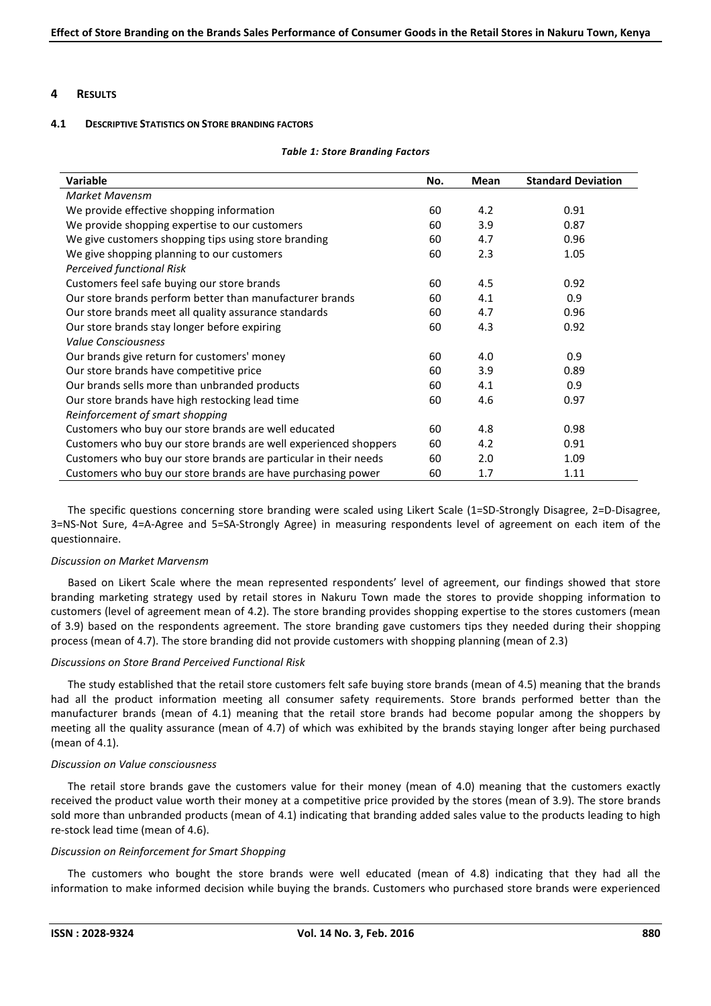## **4 RESULTS**

#### **4.1 DESCRIPTIVE STATISTICS ON STORE BRANDING FACTORS**

#### *Table 1: Store Branding Factors*

| <b>Variable</b>                                                  | No. | Mean | <b>Standard Deviation</b> |
|------------------------------------------------------------------|-----|------|---------------------------|
| Market Mavensm                                                   |     |      |                           |
| We provide effective shopping information                        | 60  | 4.2  | 0.91                      |
| We provide shopping expertise to our customers                   | 60  | 3.9  | 0.87                      |
| We give customers shopping tips using store branding             | 60  | 4.7  | 0.96                      |
| We give shopping planning to our customers                       | 60  | 2.3  | 1.05                      |
| Perceived functional Risk                                        |     |      |                           |
| Customers feel safe buying our store brands                      | 60  | 4.5  | 0.92                      |
| Our store brands perform better than manufacturer brands         | 60  | 4.1  | 0.9                       |
| Our store brands meet all quality assurance standards            | 60  | 4.7  | 0.96                      |
| Our store brands stay longer before expiring                     | 60  | 4.3  | 0.92                      |
| <b>Value Consciousness</b>                                       |     |      |                           |
| Our brands give return for customers' money                      | 60  | 4.0  | 0.9                       |
| Our store brands have competitive price                          | 60  | 3.9  | 0.89                      |
| Our brands sells more than unbranded products                    | 60  | 4.1  | 0.9                       |
| Our store brands have high restocking lead time                  | 60  | 4.6  | 0.97                      |
| Reinforcement of smart shopping                                  |     |      |                           |
| Customers who buy our store brands are well educated             | 60  | 4.8  | 0.98                      |
| Customers who buy our store brands are well experienced shoppers | 60  | 4.2  | 0.91                      |
| Customers who buy our store brands are particular in their needs | 60  | 2.0  | 1.09                      |
| Customers who buy our store brands are have purchasing power     | 60  | 1.7  | 1.11                      |

The specific questions concerning store branding were scaled using Likert Scale (1=SD-Strongly Disagree, 2=D-Disagree, 3=NS-Not Sure, 4=A-Agree and 5=SA-Strongly Agree) in measuring respondents level of agreement on each item of the questionnaire.

#### *Discussion on Market Marvensm*

Based on Likert Scale where the mean represented respondents' level of agreement, our findings showed that store branding marketing strategy used by retail stores in Nakuru Town made the stores to provide shopping information to customers (level of agreement mean of 4.2). The store branding provides shopping expertise to the stores customers (mean of 3.9) based on the respondents agreement. The store branding gave customers tips they needed during their shopping process (mean of 4.7). The store branding did not provide customers with shopping planning (mean of 2.3)

## *Discussions on Store Brand Perceived Functional Risk*

The study established that the retail store customers felt safe buying store brands (mean of 4.5) meaning that the brands had all the product information meeting all consumer safety requirements. Store brands performed better than the manufacturer brands (mean of 4.1) meaning that the retail store brands had become popular among the shoppers by meeting all the quality assurance (mean of 4.7) of which was exhibited by the brands staying longer after being purchased (mean of 4.1).

## *Discussion on Value consciousness*

The retail store brands gave the customers value for their money (mean of 4.0) meaning that the customers exactly received the product value worth their money at a competitive price provided by the stores (mean of 3.9). The store brands sold more than unbranded products (mean of 4.1) indicating that branding added sales value to the products leading to high re-stock lead time (mean of 4.6).

## *Discussion on Reinforcement for Smart Shopping*

The customers who bought the store brands were well educated (mean of 4.8) indicating that they had all the information to make informed decision while buying the brands. Customers who purchased store brands were experienced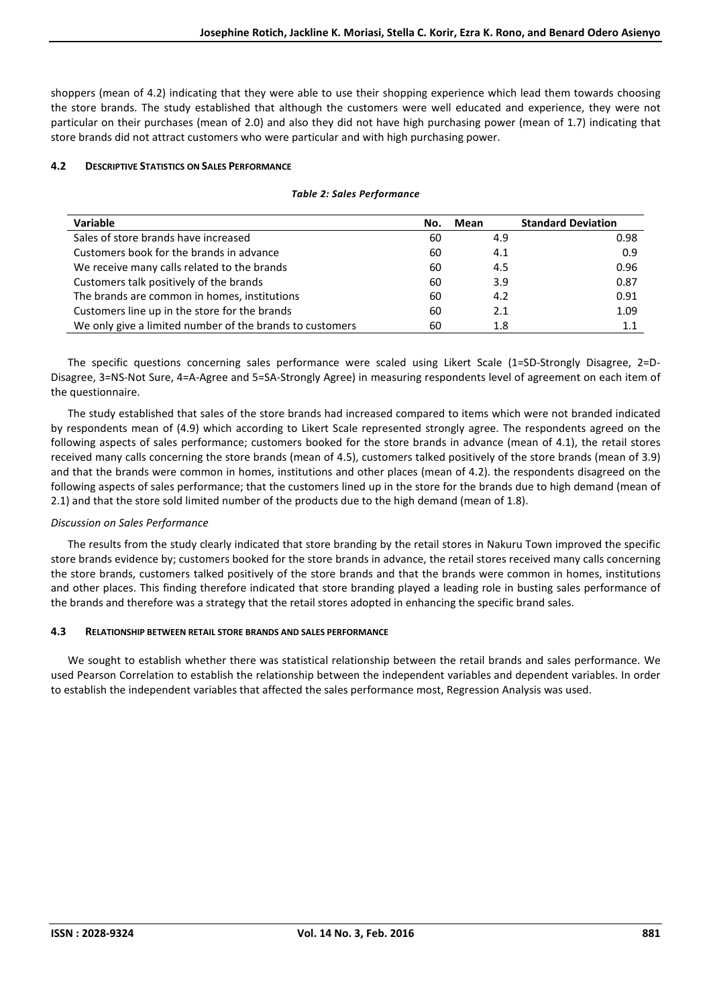shoppers (mean of 4.2) indicating that they were able to use their shopping experience which lead them towards choosing the store brands. The study established that although the customers were well educated and experience, they were not particular on their purchases (mean of 2.0) and also they did not have high purchasing power (mean of 1.7) indicating that store brands did not attract customers who were particular and with high purchasing power.

## **4.2 DESCRIPTIVE STATISTICS ON SALES PERFORMANCE**

#### *Table 2: Sales Performance*

| Variable                                                 | Mean<br>No. |     | <b>Standard Deviation</b> |  |
|----------------------------------------------------------|-------------|-----|---------------------------|--|
| Sales of store brands have increased                     | 60          | 4.9 | 0.98                      |  |
| Customers book for the brands in advance                 | 60          | 4.1 | 0.9                       |  |
| We receive many calls related to the brands              | 60          | 4.5 | 0.96                      |  |
| Customers talk positively of the brands                  | 60          | 3.9 | 0.87                      |  |
| The brands are common in homes, institutions             | 60          | 4.2 | 0.91                      |  |
| Customers line up in the store for the brands            | 60          | 2.1 | 1.09                      |  |
| We only give a limited number of the brands to customers | 60          | 1.8 | 1.1                       |  |

The specific questions concerning sales performance were scaled using Likert Scale (1=SD-Strongly Disagree, 2=D-Disagree, 3=NS-Not Sure, 4=A-Agree and 5=SA-Strongly Agree) in measuring respondents level of agreement on each item of the questionnaire.

The study established that sales of the store brands had increased compared to items which were not branded indicated by respondents mean of (4.9) which according to Likert Scale represented strongly agree. The respondents agreed on the following aspects of sales performance; customers booked for the store brands in advance (mean of 4.1), the retail stores received many calls concerning the store brands (mean of 4.5), customers talked positively of the store brands (mean of 3.9) and that the brands were common in homes, institutions and other places (mean of 4.2). the respondents disagreed on the following aspects of sales performance; that the customers lined up in the store for the brands due to high demand (mean of 2.1) and that the store sold limited number of the products due to the high demand (mean of 1.8).

## *Discussion on Sales Performance*

The results from the study clearly indicated that store branding by the retail stores in Nakuru Town improved the specific store brands evidence by; customers booked for the store brands in advance, the retail stores received many calls concerning the store brands, customers talked positively of the store brands and that the brands were common in homes, institutions and other places. This finding therefore indicated that store branding played a leading role in busting sales performance of the brands and therefore was a strategy that the retail stores adopted in enhancing the specific brand sales.

# **4.3 RELATIONSHIP BETWEEN RETAIL STORE BRANDS AND SALES PERFORMANCE**

We sought to establish whether there was statistical relationship between the retail brands and sales performance. We used Pearson Correlation to establish the relationship between the independent variables and dependent variables. In order to establish the independent variables that affected the sales performance most, Regression Analysis was used.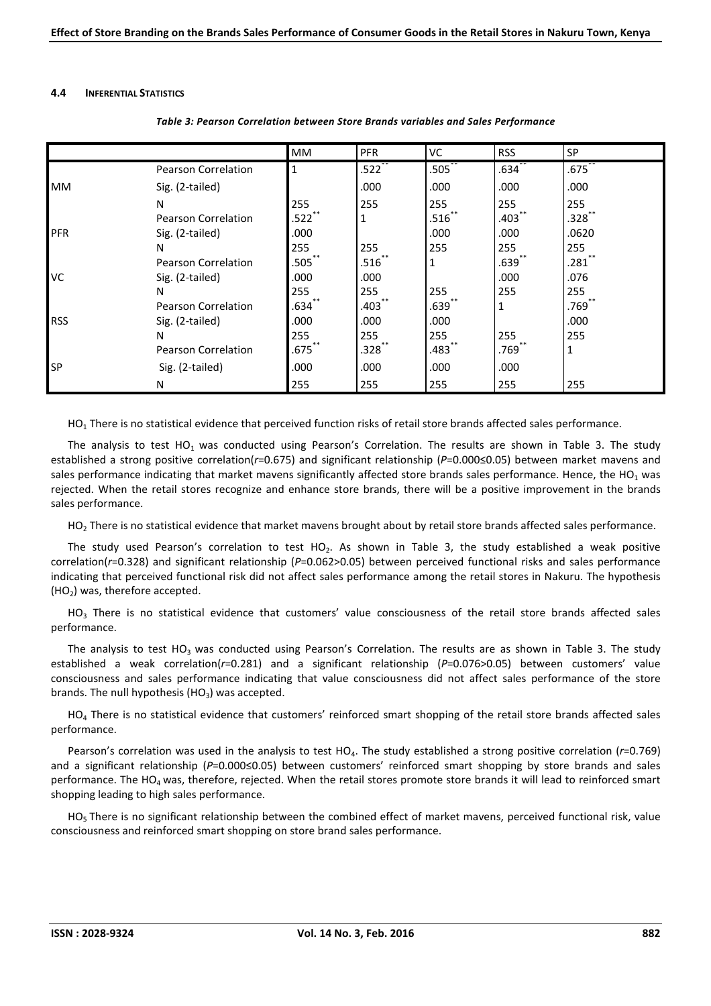#### **4.4 INFERENTIAL STATISTICS**

|            |                            | <b>MM</b> | <b>PFR</b>          | VC                   | <b>RSS</b> | SP               |
|------------|----------------------------|-----------|---------------------|----------------------|------------|------------------|
|            | <b>Pearson Correlation</b> | 1         | $.522$ **           | $.505$ $*$           | $.634$ **  | $.675$ **        |
| <b>MM</b>  | Sig. (2-tailed)            |           | .000                | .000                 | .000       | .000             |
|            | N                          | 255       | 255                 | 255                  | 255        | 255              |
|            | Pearson Correlation        | $.522$ ** | $\mathbf{1}$        | $.516$ **            | $.403$ **  | $.328^{\degree}$ |
| PFR        | Sig. (2-tailed)            | .000      |                     | .000                 | .000       | .0620            |
|            | N                          | 255       | 255                 | 255                  | 255        | 255              |
|            | Pearson Correlation        | .505      | .516                |                      | .639       | .281             |
| VC         | Sig. (2-tailed)            | .000      | .000                |                      | .000       | .076             |
|            | N                          | 255       | 255                 | 255                  | 255        | 255              |
|            | Pearson Correlation        | .634      | $.403$ <sup>*</sup> | $.639^{**}$          |            | '769.            |
| <b>RSS</b> | Sig. (2-tailed)            | .000      | .000                | .000                 |            | .000             |
|            | N                          | 255       | 255                 | 255                  | 255        | 255              |
|            | <b>Pearson Correlation</b> | $.675$ ** | $.328$ **           | $.483$ <sup>**</sup> | $.769$ **  | 1                |
| <b>SP</b>  | Sig. (2-tailed)            | .000      | .000                | .000                 | .000       |                  |
|            | N                          | 255       | 255                 | 255                  | 255        | 255              |

#### *Table 3: Pearson Correlation between Store Brands variables and Sales Performance*

HO<sub>1</sub> There is no statistical evidence that perceived function risks of retail store brands affected sales performance.

The analysis to test HO<sub>1</sub> was conducted using Pearson's Correlation. The results are shown in Table 3. The study established a strong positive correlation(*r*=0.675) and significant relationship (*P*=0.000≤0.05) between market mavens and sales performance indicating that market mavens significantly affected store brands sales performance. Hence, the HO<sub>1</sub> was rejected. When the retail stores recognize and enhance store brands, there will be a positive improvement in the brands sales performance.

 $HO<sub>2</sub>$  There is no statistical evidence that market mavens brought about by retail store brands affected sales performance.

The study used Pearson's correlation to test HO<sub>2</sub>. As shown in Table 3, the study established a weak positive correlation(*r*=0.328) and significant relationship (*P*=0.062>0.05) between perceived functional risks and sales performance indicating that perceived functional risk did not affect sales performance among the retail stores in Nakuru. The hypothesis  $(HO<sub>2</sub>)$  was, therefore accepted.

 $HO<sub>3</sub>$  There is no statistical evidence that customers' value consciousness of the retail store brands affected sales performance.

The analysis to test  $HO_3$  was conducted using Pearson's Correlation. The results are as shown in Table 3. The study established a weak correlation(*r*=0.281) and a significant relationship (*P*=0.076>0.05) between customers' value consciousness and sales performance indicating that value consciousness did not affect sales performance of the store brands. The null hypothesis (HO<sub>3</sub>) was accepted.

 $HO<sub>4</sub>$  There is no statistical evidence that customers' reinforced smart shopping of the retail store brands affected sales performance.

Pearson's correlation was used in the analysis to test HO4. The study established a strong positive correlation (*r*=0.769) and a significant relationship (*P*=0.000≤0.05) between customers' reinforced smart shopping by store brands and sales performance. The HO<sub>4</sub> was, therefore, rejected. When the retail stores promote store brands it will lead to reinforced smart shopping leading to high sales performance.

 $HO<sub>5</sub>$  There is no significant relationship between the combined effect of market mavens, perceived functional risk, value consciousness and reinforced smart shopping on store brand sales performance.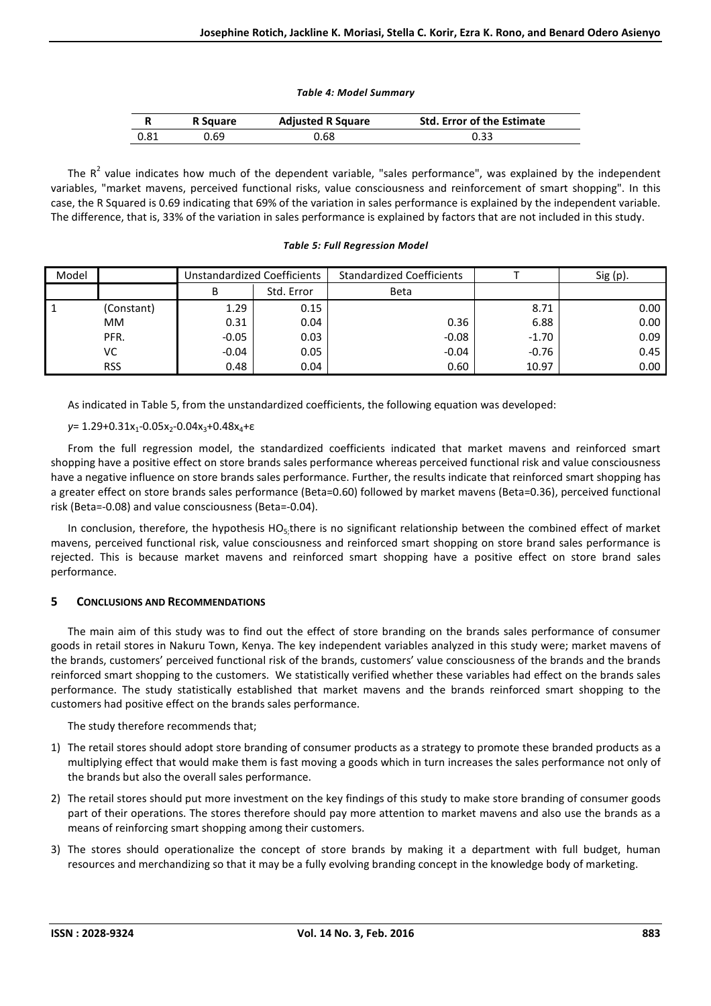#### *Table 4: Model Summary*

|      | R Square | <b>Adjusted R Square</b> | <b>Std. Error of the Estimate</b> |
|------|----------|--------------------------|-----------------------------------|
| 0.81 | ).69     | 0.68                     |                                   |

The  $R^2$  value indicates how much of the dependent variable, "sales performance", was explained by the independent variables, "market mavens, perceived functional risks, value consciousness and reinforcement of smart shopping". In this case, the R Squared is 0.69 indicating that 69% of the variation in sales performance is explained by the independent variable. The difference, that is, 33% of the variation in sales performance is explained by factors that are not included in this study.

#### *Table 5: Full Regression Model*

| Model |            | Unstandardized Coefficients |            | <b>Standardized Coefficients</b> |         | $Sig(p)$ . |
|-------|------------|-----------------------------|------------|----------------------------------|---------|------------|
|       |            | В                           | Std. Error | Beta                             |         |            |
|       | (Constant) | 1.29                        | 0.15       |                                  | 8.71    | 0.00       |
|       | МM         | 0.31                        | 0.04       | 0.36                             | 6.88    | 0.00       |
|       | PFR.       | $-0.05$                     | 0.03       | $-0.08$                          | $-1.70$ | 0.09       |
|       | VC.        | $-0.04$                     | 0.05       | $-0.04$                          | $-0.76$ | 0.45       |
|       | <b>RSS</b> | 0.48                        | 0.04       | 0.60                             | 10.97   | 0.00       |

As indicated in Table 5, from the unstandardized coefficients, the following equation was developed:

*ν*= 1.29+0.31x<sub>1</sub>-0.05x<sub>2</sub>-0.04x<sub>3</sub>+0.48x<sub>4</sub>+ε

From the full regression model, the standardized coefficients indicated that market mavens and reinforced smart shopping have a positive effect on store brands sales performance whereas perceived functional risk and value consciousness have a negative influence on store brands sales performance. Further, the results indicate that reinforced smart shopping has a greater effect on store brands sales performance (Beta=0.60) followed by market mavens (Beta=0.36), perceived functional risk (Beta=-0.08) and value consciousness (Beta=-0.04).

In conclusion, therefore, the hypothesis  $HO<sub>5</sub>$ ; there is no significant relationship between the combined effect of market mavens, perceived functional risk, value consciousness and reinforced smart shopping on store brand sales performance is rejected. This is because market mavens and reinforced smart shopping have a positive effect on store brand sales performance.

# **5 CONCLUSIONS AND RECOMMENDATIONS**

The main aim of this study was to find out the effect of store branding on the brands sales performance of consumer goods in retail stores in Nakuru Town, Kenya. The key independent variables analyzed in this study were; market mavens of the brands, customers' perceived functional risk of the brands, customers' value consciousness of the brands and the brands reinforced smart shopping to the customers. We statistically verified whether these variables had effect on the brands sales performance. The study statistically established that market mavens and the brands reinforced smart shopping to the customers had positive effect on the brands sales performance.

The study therefore recommends that;

- 1) The retail stores should adopt store branding of consumer products as a strategy to promote these branded products as a multiplying effect that would make them is fast moving a goods which in turn increases the sales performance not only of the brands but also the overall sales performance.
- 2) The retail stores should put more investment on the key findings of this study to make store branding of consumer goods part of their operations. The stores therefore should pay more attention to market mavens and also use the brands as a means of reinforcing smart shopping among their customers.
- 3) The stores should operationalize the concept of store brands by making it a department with full budget, human resources and merchandizing so that it may be a fully evolving branding concept in the knowledge body of marketing.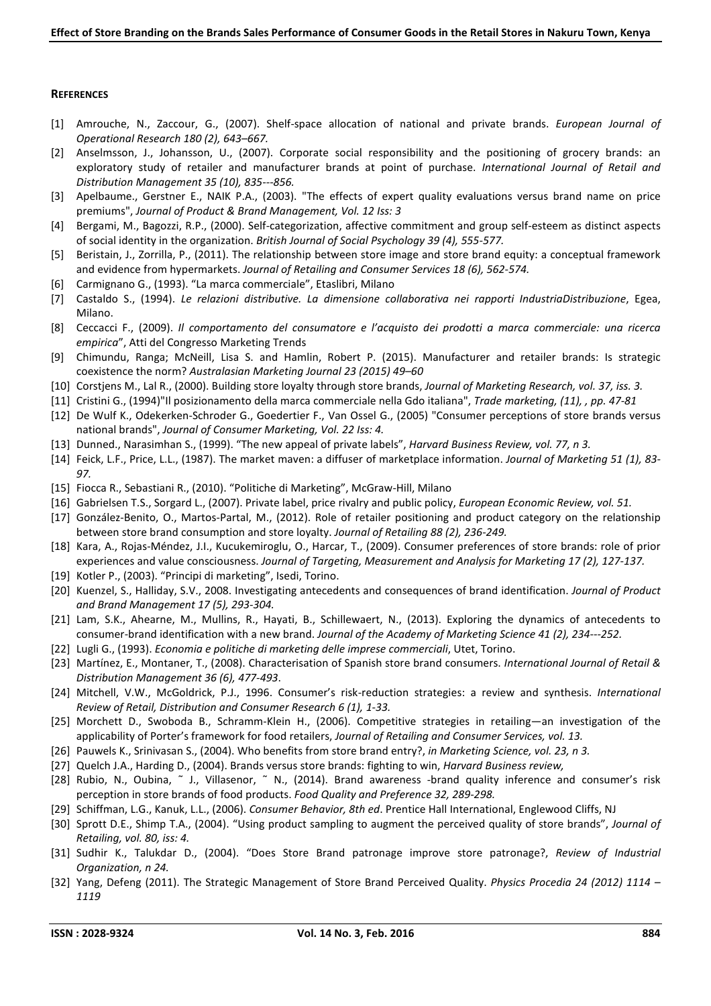## **REFERENCES**

- [1] Amrouche, N., Zaccour, G., (2007). Shelf-space allocation of national and private brands. *European Journal of Operational Research 180 (2), 643–667.*
- [2] Anselmsson, J., Johansson, U., (2007). Corporate social responsibility and the positioning of grocery brands: an exploratory study of retailer and manufacturer brands at point of purchase. *International Journal of Retail and Distribution Management 35 (10), 835---856.*
- [3] Apelbaume., Gerstner E., NAIK P.A., (2003). "The effects of expert quality evaluations versus brand name on price premiums", *Journal of Product & Brand Management, Vol. 12 Iss: 3*
- [4] Bergami, M., Bagozzi, R.P., (2000). Self-categorization, affective commitment and group self-esteem as distinct aspects of social identity in the organization. *British Journal of Social Psychology 39 (4), 555-577.*
- [5] Beristain, J., Zorrilla, P., (2011). The relationship between store image and store brand equity: a conceptual framework and evidence from hypermarkets. *Journal of Retailing and Consumer Services 18 (6), 562-574.*
- [6] Carmignano G., (1993). "La marca commerciale", Etaslibri, Milano
- [7] Castaldo S., (1994). *Le relazioni distributive. La dimensione collaborativa nei rapporti IndustriaDistribuzione*, Egea, Milano.
- [8] Ceccacci F., (2009). *Il comportamento del consumatore e l'acquisto dei prodotti a marca commerciale: una ricerca empirica*", Atti del Congresso Marketing Trends
- [9] Chimundu, Ranga; McNeill, Lisa S. and Hamlin, Robert P. (2015). Manufacturer and retailer brands: Is strategic coexistence the norm? *Australasian Marketing Journal 23 (2015) 49–60*
- [10] Corstjens M., Lal R., (2000). Building store loyalty through store brands, *Journal of Marketing Research, vol. 37, iss. 3.*
- [11] Cristini G., (1994)"Il posizionamento della marca commerciale nella Gdo italiana", *Trade marketing, (11), , pp. 47-81*
- [12] De Wulf K., Odekerken-Schroder G., Goedertier F., Van Ossel G., (2005) "Consumer perceptions of store brands versus national brands", *Journal of Consumer Marketing, Vol. 22 Iss: 4.*
- [13] Dunned., Narasimhan S., (1999). "The new appeal of private labels", *Harvard Business Review, vol. 77, n 3.*
- [14] Feick, L.F., Price, L.L., (1987). The market maven: a diffuser of marketplace information. *Journal of Marketing 51 (1), 83- 97.*
- [15] Fiocca R., Sebastiani R., (2010). "Politiche di Marketing", McGraw-Hill, Milano
- [16] Gabrielsen T.S., Sorgard L., (2007). Private label, price rivalry and public policy, *European Economic Review, vol. 51.*
- [17] González-Benito, O., Martos-Partal, M., (2012). Role of retailer positioning and product category on the relationship between store brand consumption and store loyalty. *Journal of Retailing 88 (2), 236-249.*
- [18] Kara, A., Rojas-Méndez, J.I., Kucukemiroglu, O., Harcar, T., (2009). Consumer preferences of store brands: role of prior experiences and value consciousness. *Journal of Targeting, Measurement and Analysis for Marketing 17 (2), 127-137.*
- [19] Kotler P., (2003). "Principi di marketing", Isedi, Torino.
- [20] Kuenzel, S., Halliday, S.V., 2008. Investigating antecedents and consequences of brand identification. *Journal of Product and Brand Management 17 (5), 293-304.*
- [21] Lam, S.K., Ahearne, M., Mullins, R., Hayati, B., Schillewaert, N., (2013). Exploring the dynamics of antecedents to consumer-brand identification with a new brand. *Journal of the Academy of Marketing Science 41 (2), 234---252.*
- [22] Lugli G., (1993). *Economia e politiche di marketing delle imprese commerciali*, Utet, Torino.
- [23] Martínez, E., Montaner, T., (2008). Characterisation of Spanish store brand consumers. *International Journal of Retail & Distribution Management 36 (6), 477-493*.
- [24] Mitchell, V.W., McGoldrick, P.J., 1996. Consumer's risk-reduction strategies: a review and synthesis. *International Review of Retail, Distribution and Consumer Research 6 (1), 1-33.*
- [25] Morchett D., Swoboda B., Schramm-Klein H., (2006). Competitive strategies in retailing—an investigation of the applicability of Porter's framework for food retailers, *Journal of Retailing and Consumer Services, vol. 13.*
- [26] Pauwels K., Srinivasan S., (2004). Who benefits from store brand entry?, *in Marketing Science, vol. 23, n 3.*
- [27] Quelch J.A., Harding D., (2004). Brands versus store brands: fighting to win, *Harvard Business review,*
- [28] Rubio, N., Oubina, ˜ J., Villasenor, ˜ N., (2014). Brand awareness -brand quality inference and consumer's risk perception in store brands of food products. *Food Quality and Preference 32, 289-298.*
- [29] Schiffman, L.G., Kanuk, L.L., (2006). *Consumer Behavior, 8th ed*. Prentice Hall International, Englewood Cliffs, NJ
- [30] Sprott D.E., Shimp T.A., (2004). "Using product sampling to augment the perceived quality of store brands", *Journal of Retailing, vol. 80, iss: 4.*
- [31] Sudhir K., Talukdar D., (2004). "Does Store Brand patronage improve store patronage?, *Review of Industrial Organization, n 24.*
- [32] Yang, Defeng (2011). The Strategic Management of Store Brand Perceived Quality. *Physics Procedia 24 (2012) 1114 1119*